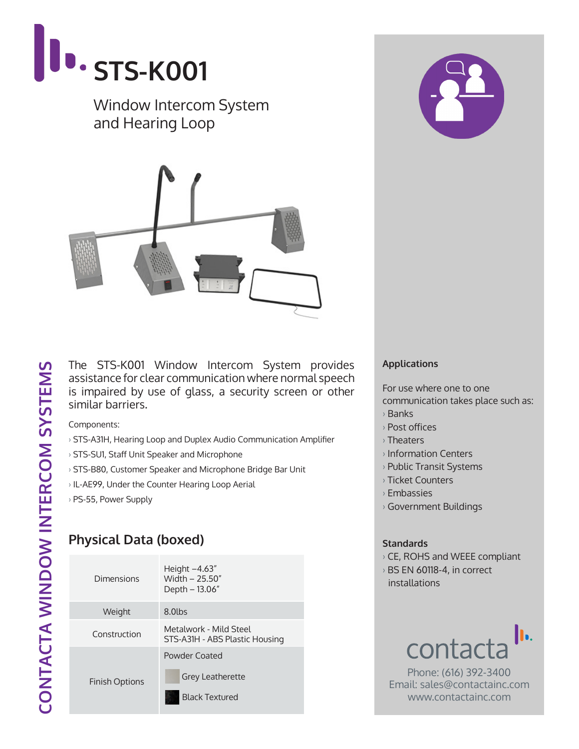

### Window Intercom System and Hearing Loop



The STS-K001 Window Intercom System provides assistance for clear communication where normal speech is impaired by use of glass, a security screen or other similar barriers.

Components:

- › STS-A31H, Hearing Loop and Duplex Audio Communication Amplifier
- › STS-SU1, Staff Unit Speaker and Microphone
- › STS-B80, Customer Speaker and Microphone Bridge Bar Unit
- › IL-AE99, Under the Counter Hearing Loop Aerial
- › PS-55, Power Supply

# **Physical Data (boxed)**

| Dimensions            | Height $-4.63''$<br>Width - 25.50"<br>Depth - 13.06"     |  |
|-----------------------|----------------------------------------------------------|--|
| Weight                | 8.0lbs                                                   |  |
| Construction          | Metalwork - Mild Steel<br>STS-A31H - ABS Plastic Housing |  |
| <b>Finish Options</b> | Powder Coated                                            |  |
|                       | <b>Grey Leatherette</b>                                  |  |
|                       | <b>Black Textured</b>                                    |  |



### **Applications**

For use where one to one communication takes place such as:

- › Banks
- › Post offices
- › Theaters
- › Information Centers
- › Public Transit Systems
- › Ticket Counters
- › Embassies
- › Government Buildings

#### **Standards**

- › CE, ROHS and WEEE compliant
- › BS EN 60118-4, in correct installations



Phone: (616) 392-3400 Email: sales@contactainc.com www.contactainc.com